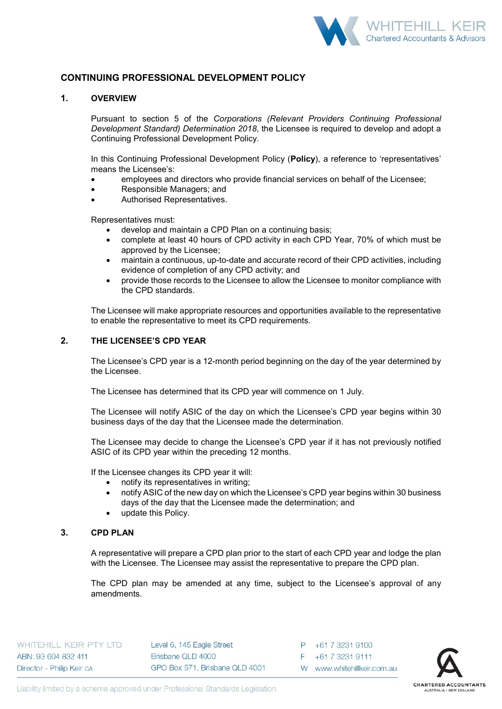

# **CONTINUING PROFESSIONAL DEVELOPMENT POLICY**

### **1. OVERVIEW**

Pursuant to section 5 of the *Corporations (Relevant Providers Continuing Professional Development Standard) Determination 2018*, the Licensee is required to develop and adopt a Continuing Professional Development Policy.

In this Continuing Professional Development Policy (**Policy**), a reference to 'representatives' means the Licensee's:

- employees and directors who provide financial services on behalf of the Licensee;
- Responsible Managers; and
- Authorised Representatives.

Representatives must:

- develop and maintain a CPD Plan on a continuing basis;
- complete at least 40 hours of CPD activity in each CPD Year, 70% of which must be approved by the Licensee;
- maintain a continuous, up-to-date and accurate record of their CPD activities, including evidence of completion of any CPD activity; and
- provide those records to the Licensee to allow the Licensee to monitor compliance with the CPD standards.

The Licensee will make appropriate resources and opportunities available to the representative to enable the representative to meet its CPD requirements.

# **2. THE LICENSEE'S CPD YEAR**

The Licensee's CPD year is a 12-month period beginning on the day of the year determined by the Licensee.

The Licensee has determined that its CPD year will commence on 1 July.

The Licensee will notify ASIC of the day on which the Licensee's CPD year begins within 30 business days of the day that the Licensee made the determination.

The Licensee may decide to change the Licensee's CPD year if it has not previously notified ASIC of its CPD year within the preceding 12 months.

If the Licensee changes its CPD year it will:

- notify its representatives in writing;
- notify ASIC of the new day on which the Licensee's CPD year begins within 30 business days of the day that the Licensee made the determination; and
- update this Policy.

## **3. CPD PLAN**

A representative will prepare a CPD plan prior to the start of each CPD year and lodge the plan with the Licensee. The Licensee may assist the representative to prepare the CPD plan.

The CPD plan may be amended at any time, subject to the Licensee's approval of any amendments.

WHITEHILL KEIR PTY LTD ABN: 93 604 832 411 Director - Philip Keir ca

Level 6, 145 Eagle Street Brisbane QLD 4000 GPO Box 571, Brisbane QLD 4001

P +61 7 3231 9100 F +61 7 3231 9111 W www.whitehillkeir.com.au

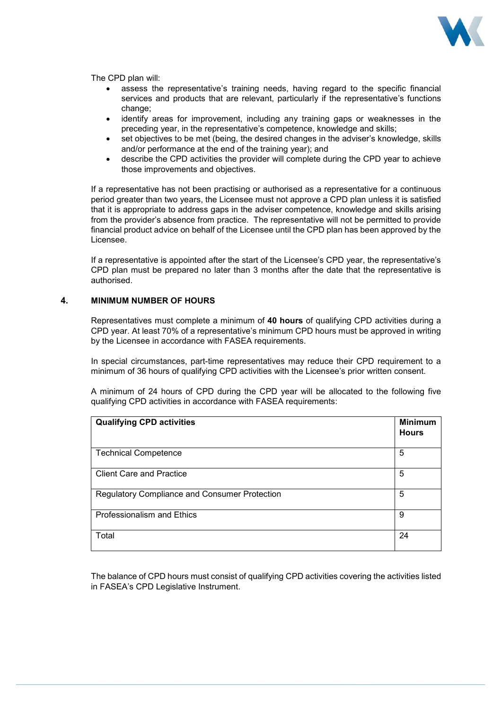

The CPD plan will:

- assess the representative's training needs, having regard to the specific financial services and products that are relevant, particularly if the representative's functions change:
- identify areas for improvement, including any training gaps or weaknesses in the preceding year, in the representative's competence, knowledge and skills;
- set objectives to be met (being, the desired changes in the adviser's knowledge, skills and/or performance at the end of the training year); and
- describe the CPD activities the provider will complete during the CPD year to achieve those improvements and objectives.

If a representative has not been practising or authorised as a representative for a continuous period greater than two years, the Licensee must not approve a CPD plan unless it is satisfied that it is appropriate to address gaps in the adviser competence, knowledge and skills arising from the provider's absence from practice. The representative will not be permitted to provide financial product advice on behalf of the Licensee until the CPD plan has been approved by the Licensee.

If a representative is appointed after the start of the Licensee's CPD year, the representative's CPD plan must be prepared no later than 3 months after the date that the representative is authorised.

### **4. MINIMUM NUMBER OF HOURS**

Representatives must complete a minimum of **40 hours** of qualifying CPD activities during a CPD year. At least 70% of a representative's minimum CPD hours must be approved in writing by the Licensee in accordance with FASEA requirements.

In special circumstances, part-time representatives may reduce their CPD requirement to a minimum of 36 hours of qualifying CPD activities with the Licensee's prior written consent.

A minimum of 24 hours of CPD during the CPD year will be allocated to the following five qualifying CPD activities in accordance with FASEA requirements:

| <b>Qualifying CPD activities</b>                     | <b>Minimum</b><br><b>Hours</b> |
|------------------------------------------------------|--------------------------------|
| <b>Technical Competence</b>                          | 5                              |
| <b>Client Care and Practice</b>                      | 5                              |
| <b>Regulatory Compliance and Consumer Protection</b> | 5                              |
| Professionalism and Ethics                           | 9                              |
| Total                                                | 24                             |

The balance of CPD hours must consist of qualifying CPD activities covering the activities listed in FASEA's CPD Legislative Instrument.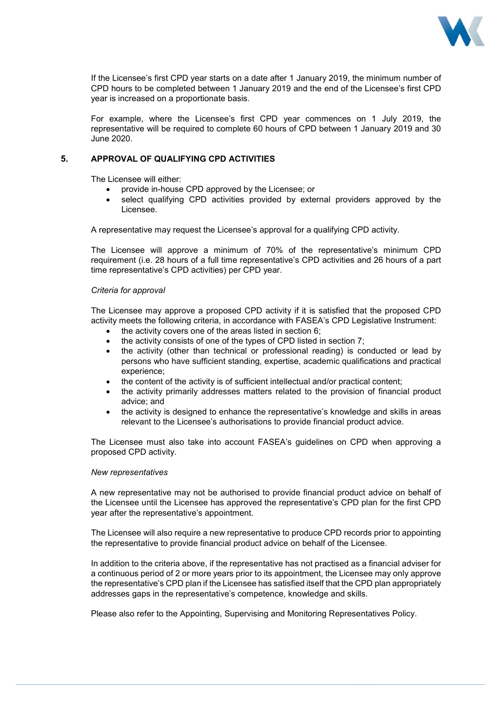

If the Licensee's first CPD year starts on a date after 1 January 2019, the minimum number of CPD hours to be completed between 1 January 2019 and the end of the Licensee's first CPD year is increased on a proportionate basis.

For example, where the Licensee's first CPD year commences on 1 July 2019, the representative will be required to complete 60 hours of CPD between 1 January 2019 and 30 June 2020.

# **5. APPROVAL OF QUALIFYING CPD ACTIVITIES**

The Licensee will either:

- provide in-house CPD approved by the Licensee; or
- select qualifying CPD activities provided by external providers approved by the Licensee.

A representative may request the Licensee's approval for a qualifying CPD activity.

The Licensee will approve a minimum of 70% of the representative's minimum CPD requirement (i.e. 28 hours of a full time representative's CPD activities and 26 hours of a part time representative's CPD activities) per CPD year.

### *Criteria for approval*

The Licensee may approve a proposed CPD activity if it is satisfied that the proposed CPD activity meets the following criteria, in accordance with FASEA's CPD Legislative Instrument:

- the activity covers one of the areas listed in section 6;
- the activity consists of one of the types of CPD listed in section 7;
- the activity (other than technical or professional reading) is conducted or lead by persons who have sufficient standing, expertise, academic qualifications and practical experience;
- the content of the activity is of sufficient intellectual and/or practical content;
- the activity primarily addresses matters related to the provision of financial product advice; and
- the activity is designed to enhance the representative's knowledge and skills in areas relevant to the Licensee's authorisations to provide financial product advice.

The Licensee must also take into account FASEA's guidelines on CPD when approving a proposed CPD activity.

### *New representatives*

A new representative may not be authorised to provide financial product advice on behalf of the Licensee until the Licensee has approved the representative's CPD plan for the first CPD year after the representative's appointment.

The Licensee will also require a new representative to produce CPD records prior to appointing the representative to provide financial product advice on behalf of the Licensee.

In addition to the criteria above, if the representative has not practised as a financial adviser for a continuous period of 2 or more years prior to its appointment, the Licensee may only approve the representative's CPD plan if the Licensee has satisfied itself that the CPD plan appropriately addresses gaps in the representative's competence, knowledge and skills.

Please also refer to the Appointing, Supervising and Monitoring Representatives Policy.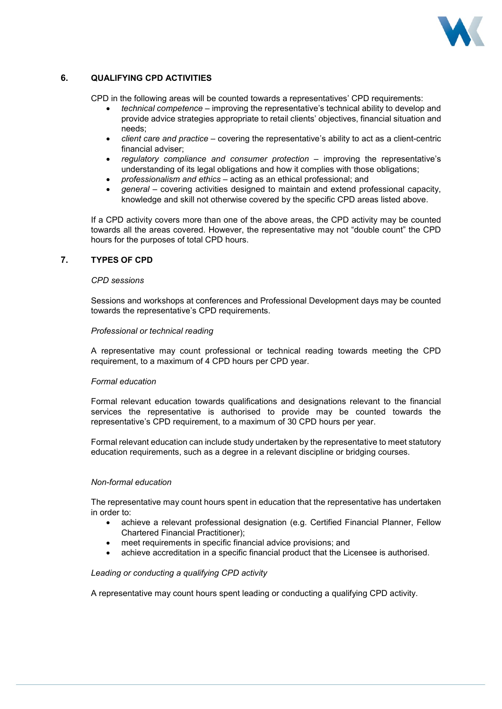

# **6. QUALIFYING CPD ACTIVITIES**

CPD in the following areas will be counted towards a representatives' CPD requirements:

- *technical competence* improving the representative's technical ability to develop and provide advice strategies appropriate to retail clients' objectives, financial situation and needs;
- *client care and practice* covering the representative's ability to act as a client-centric financial adviser;
- *regulatory compliance and consumer protection* improving the representative's understanding of its legal obligations and how it complies with those obligations;
- *professionalism and ethics* acting as an ethical professional; and
- *general* covering activities designed to maintain and extend professional capacity, knowledge and skill not otherwise covered by the specific CPD areas listed above.

If a CPD activity covers more than one of the above areas, the CPD activity may be counted towards all the areas covered. However, the representative may not "double count" the CPD hours for the purposes of total CPD hours.

### **7. TYPES OF CPD**

### *CPD sessions*

Sessions and workshops at conferences and Professional Development days may be counted towards the representative's CPD requirements.

#### *Professional or technical reading*

A representative may count professional or technical reading towards meeting the CPD requirement, to a maximum of 4 CPD hours per CPD year.

### *Formal education*

Formal relevant education towards qualifications and designations relevant to the financial services the representative is authorised to provide may be counted towards the representative's CPD requirement, to a maximum of 30 CPD hours per year.

Formal relevant education can include study undertaken by the representative to meet statutory education requirements, such as a degree in a relevant discipline or bridging courses.

### *Non-formal education*

The representative may count hours spent in education that the representative has undertaken in order to:

- achieve a relevant professional designation (e.g. Certified Financial Planner, Fellow Chartered Financial Practitioner);
- meet requirements in specific financial advice provisions; and
- achieve accreditation in a specific financial product that the Licensee is authorised.

#### *Leading or conducting a qualifying CPD activity*

A representative may count hours spent leading or conducting a qualifying CPD activity.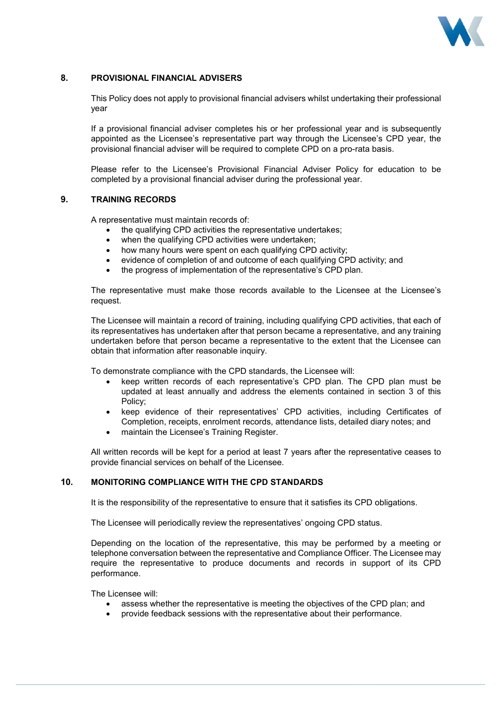

## **8. PROVISIONAL FINANCIAL ADVISERS**

This Policy does not apply to provisional financial advisers whilst undertaking their professional year

If a provisional financial adviser completes his or her professional year and is subsequently appointed as the Licensee's representative part way through the Licensee's CPD year, the provisional financial adviser will be required to complete CPD on a pro-rata basis.

Please refer to the Licensee's Provisional Financial Adviser Policy for education to be completed by a provisional financial adviser during the professional year.

### **9. TRAINING RECORDS**

A representative must maintain records of:

- the qualifying CPD activities the representative undertakes;
- when the qualifying CPD activities were undertaken;
- how many hours were spent on each qualifying CPD activity;
- evidence of completion of and outcome of each qualifying CPD activity; and
- the progress of implementation of the representative's CPD plan.

The representative must make those records available to the Licensee at the Licensee's request.

The Licensee will maintain a record of training, including qualifying CPD activities, that each of its representatives has undertaken after that person became a representative, and any training undertaken before that person became a representative to the extent that the Licensee can obtain that information after reasonable inquiry.

To demonstrate compliance with the CPD standards, the Licensee will:

- keep written records of each representative's CPD plan. The CPD plan must be updated at least annually and address the elements contained in section 3 of this Policy;
- keep evidence of their representatives' CPD activities, including Certificates of Completion, receipts, enrolment records, attendance lists, detailed diary notes; and
- maintain the Licensee's Training Register.

All written records will be kept for a period at least 7 years after the representative ceases to provide financial services on behalf of the Licensee.

### **10. MONITORING COMPLIANCE WITH THE CPD STANDARDS**

It is the responsibility of the representative to ensure that it satisfies its CPD obligations.

The Licensee will periodically review the representatives' ongoing CPD status.

Depending on the location of the representative, this may be performed by a meeting or telephone conversation between the representative and Compliance Officer. The Licensee may require the representative to produce documents and records in support of its CPD performance.

The Licensee will:

- assess whether the representative is meeting the objectives of the CPD plan; and
- provide feedback sessions with the representative about their performance.